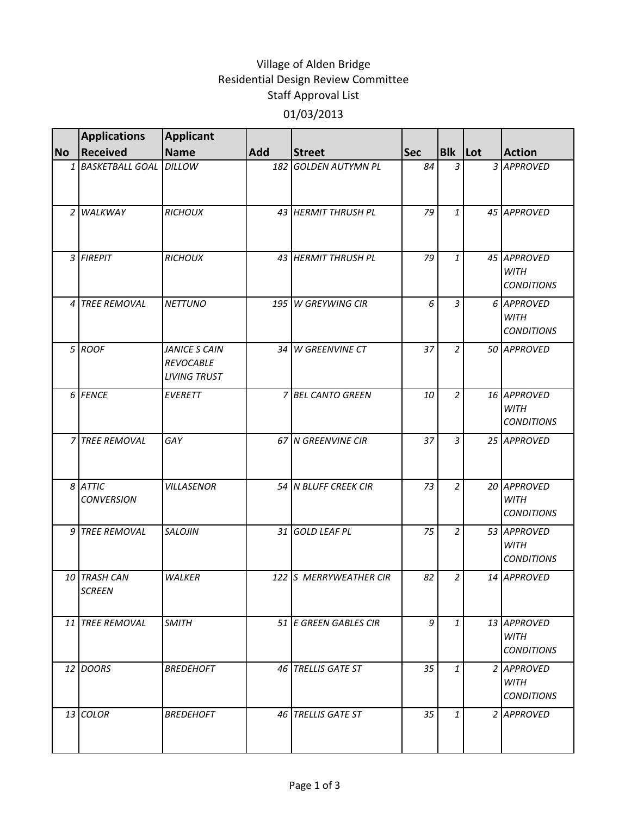## Village of Alden Bridge Residential Design Review Committee Staff Approval List 01/03/2013

|           | <b>Applications</b>           | <b>Applicant</b>                                         |            |                         |            |                |                                                 |
|-----------|-------------------------------|----------------------------------------------------------|------------|-------------------------|------------|----------------|-------------------------------------------------|
| <b>No</b> | <b>Received</b>               | <b>Name</b>                                              | <b>Add</b> | <b>Street</b>           | <b>Sec</b> | Blk Lot        | <b>Action</b>                                   |
|           | 1 BASKETBALL GOAL DILLOW      |                                                          | 182        | <b>GOLDEN AUTYMN PL</b> | 84         | 3              | 3 APPROVED                                      |
|           | 2 WALKWAY                     | <b>RICHOUX</b>                                           |            | 43 HERMIT THRUSH PL     | 79         | $\mathbf{1}$   | 45 APPROVED                                     |
|           | 3 FIREPIT                     | <b>RICHOUX</b>                                           |            | 43 HERMIT THRUSH PL     | 79         | $\mathbf{1}$   | 45 APPROVED<br><b>WITH</b><br><b>CONDITIONS</b> |
|           | 4 TREE REMOVAL                | <b>NETTUNO</b>                                           |            | 195 W GREYWING CIR      | 6          | $\overline{3}$ | 6 APPROVED<br><b>WITH</b><br><b>CONDITIONS</b>  |
|           | 5 ROOF                        | JANICE S CAIN<br><b>REVOCABLE</b><br><b>LIVING TRUST</b> |            | 34 W GREENVINE CT       | 37         | $\overline{a}$ | 50 APPROVED                                     |
|           | 6 FENCE                       | <b>EVERETT</b>                                           |            | 7 BEL CANTO GREEN       | 10         | $\overline{2}$ | 16 APPROVED<br><b>WITH</b><br><b>CONDITIONS</b> |
|           | 7 TREE REMOVAL                | GAY                                                      |            | 67 N GREENVINE CIR      | 37         | 3              | 25 APPROVED                                     |
|           | 8 ATTIC<br><b>CONVERSION</b>  | <b>VILLASENOR</b>                                        |            | 54 N BLUFF CREEK CIR    | 73         | $\overline{a}$ | 20 APPROVED<br><b>WITH</b><br><b>CONDITIONS</b> |
|           | 9 TREE REMOVAL                | <b>SALOJIN</b>                                           | 31 I       | <b>GOLD LEAF PL</b>     | 75         | $\overline{a}$ | 53 APPROVED<br><b>WITH</b><br><b>CONDITIONS</b> |
|           | 10 TRASH CAN<br><b>SCREEN</b> | <b>WALKER</b>                                            |            | 122 S MERRYWEATHER CIR  | 82         | 2              | 14 APPROVED                                     |
|           | 11 TREE REMOVAL               | <b>SMITH</b>                                             |            | 51 E GREEN GABLES CIR   | 9          | $\mathbf{1}$   | 13 APPROVED<br><b>WITH</b><br><b>CONDITIONS</b> |
|           | 12 DOORS                      | <b>BREDEHOFT</b>                                         |            | 46 TRELLIS GATE ST      | 35         | $\mathbf{1}$   | 2 APPROVED<br><b>WITH</b><br><b>CONDITIONS</b>  |
|           | 13 COLOR                      | <b>BREDEHOFT</b>                                         |            | 46 TRELLIS GATE ST      | 35         | $\mathbf{1}$   | 2 APPROVED                                      |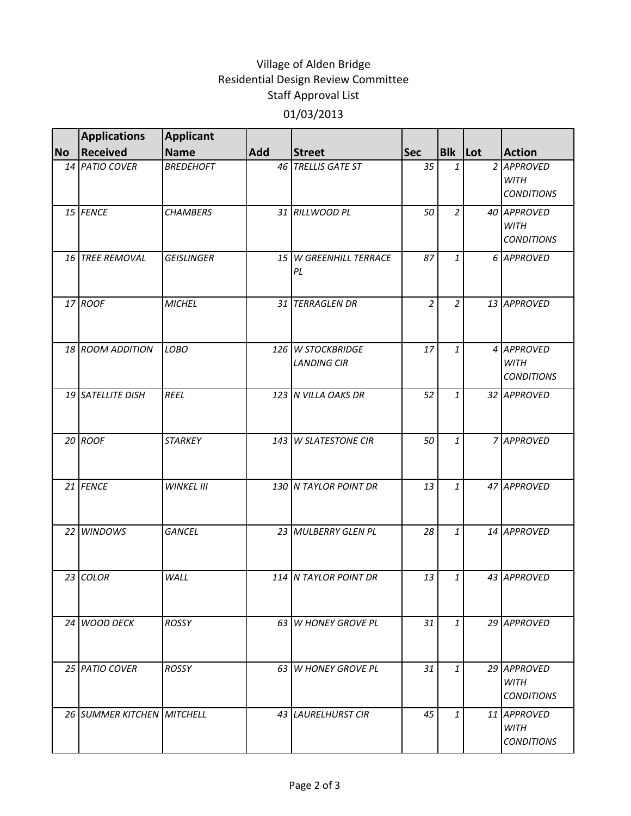## Village of Alden Bridge Residential Design Review Committee Staff Approval List 01/03/2013

|           | <b>Applications</b>        | <b>Applicant</b>  |                 |                                         |                |                |                                                 |
|-----------|----------------------------|-------------------|-----------------|-----------------------------------------|----------------|----------------|-------------------------------------------------|
| <b>No</b> | Received                   | <b>Name</b>       | <b>Add</b>      | <b>Street</b>                           | <b>Sec</b>     | <b>Blk</b> Lot | <b>Action</b>                                   |
|           | 14 PATIO COVER             | <b>BREDEHOFT</b>  |                 | 46 TRELLIS GATE ST                      | 35             | 1              | 2 APPROVED<br><b>WITH</b><br><b>CONDITIONS</b>  |
|           | 15 FENCE                   | <b>CHAMBERS</b>   |                 | 31 RILLWOOD PL                          | 50             | $\overline{2}$ | 40 APPROVED<br><b>WITH</b><br><b>CONDITIONS</b> |
|           | 16 TREE REMOVAL            | <b>GEISLINGER</b> | 15 <sup>1</sup> | <b>W GREENHILL TERRACE</b><br>PL        | 87             | $\mathbf{1}$   | 6 APPROVED                                      |
|           | 17 ROOF                    | <b>MICHEL</b>     |                 | 31 TERRAGLEN DR                         | $\overline{2}$ | $\overline{2}$ | 13 APPROVED                                     |
|           | 18 ROOM ADDITION           | LOBO              |                 | 126 W STOCKBRIDGE<br><b>LANDING CIR</b> | 17             | $\mathbf{1}$   | 4 APPROVED<br><b>WITH</b><br><b>CONDITIONS</b>  |
|           | 19 SATELLITE DISH          | <b>REEL</b>       |                 | 123 N VILLA OAKS DR                     | 52             | $\mathbf{1}$   | 32 APPROVED                                     |
|           | 20 ROOF                    | <b>STARKEY</b>    |                 | 143 W SLATESTONE CIR                    | 50             | $\mathbf{1}$   | 7 APPROVED                                      |
|           | 21 FENCE                   | <b>WINKEL III</b> |                 | 130 N TAYLOR POINT DR                   | 13             | $\mathbf{1}$   | 47 APPROVED                                     |
|           | 22 WINDOWS                 | <b>GANCEL</b>     |                 | 23 MULBERRY GLEN PL                     | 28             | $\mathbf{1}$   | 14 APPROVED                                     |
|           | 23 COLOR                   | WALL              |                 | 114 N TAYLOR POINT DR                   | 13             | $\mathbf{1}$   | 43 APPROVED                                     |
|           | 24 WOOD DECK               | <b>ROSSY</b>      |                 | 63 W HONEY GROVE PL                     | 31             | $\mathbf{1}$   | 29 APPROVED                                     |
|           | 25 PATIO COVER             | ROSSY             |                 | 63 W HONEY GROVE PL                     | 31             | $\mathbf{1}$   | 29 APPROVED<br><b>WITH</b><br><b>CONDITIONS</b> |
|           | 26 SUMMER KITCHEN MITCHELL |                   |                 | 43 LAURELHURST CIR                      | 45             | $\mathbf{1}$   | 11 APPROVED<br><b>WITH</b><br><b>CONDITIONS</b> |